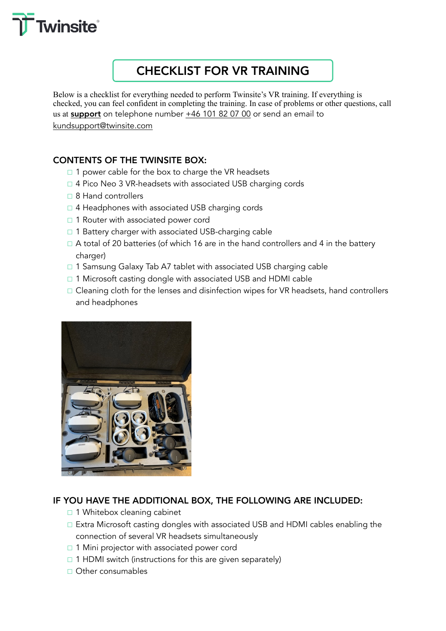

# CHECKLIST FOR VR TRAINING

Below is a checklist for everything needed to perform Twinsite's VR training. If everything is checked, you can feel confident in completing the training. In case of problems or other questions, call us at support on telephone number +46 101 82 07 00 or send an email to kundsupport@twinsite.com

# CONTENTS OF THE TWINSITE BOX:

- □ 1 power cable for the box to charge the VR headsets
- ☐ 4 Pico Neo 3 VR-headsets with associated USB charging cords
- ☐ 8 Hand controllers
- $\Box$  4 Headphones with associated USB charging cords
- □ 1 Router with associated power cord
- □ 1 Battery charger with associated USB-charging cable
- $\Box$  A total of 20 batteries (of which 16 are in the hand controllers and 4 in the battery charger)
- □ 1 Samsung Galaxy Tab A7 tablet with associated USB charging cable
- □ 1 Microsoft casting dongle with associated USB and HDMI cable
- □ Cleaning cloth for the lenses and disinfection wipes for VR headsets, hand controllers and headphones



# IF YOU HAVE THE ADDITIONAL BOX, THE FOLLOWING ARE INCLUDED:

- □ 1 Whitebox cleaning cabinet
- ☐ Extra Microsoft casting dongles with associated USB and HDMI cables enabling the connection of several VR headsets simultaneously
- □ 1 Mini projector with associated power cord
- $\Box$  1 HDMI switch (instructions for this are given separately)
- ☐ Other consumables